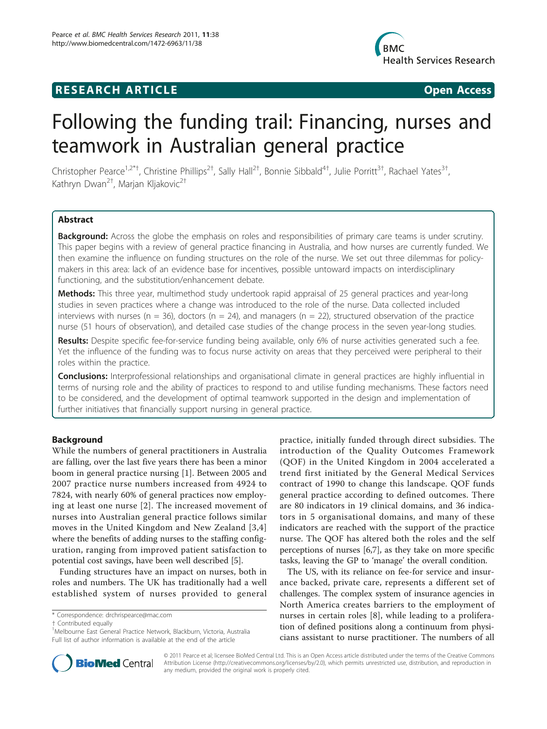## **RESEARCH ARTICLE Example 2018 Open Access**



# Following the funding trail: Financing, nurses and teamwork in Australian general practice

Christopher Pearce<sup>1,2\*†</sup>, Christine Phillips<sup>2†</sup>, Sally Hall<sup>2†</sup>, Bonnie Sibbald<sup>4†</sup>, Julie Porritt<sup>3†</sup>, Rachael Yates<sup>3†</sup> , Kathryn Dwan<sup>2†</sup>, Marjan Kljakovic<sup>2†</sup>

## Abstract

Background: Across the globe the emphasis on roles and responsibilities of primary care teams is under scrutiny. This paper begins with a review of general practice financing in Australia, and how nurses are currently funded. We then examine the influence on funding structures on the role of the nurse. We set out three dilemmas for policymakers in this area: lack of an evidence base for incentives, possible untoward impacts on interdisciplinary functioning, and the substitution/enhancement debate.

Methods: This three year, multimethod study undertook rapid appraisal of 25 general practices and year-long studies in seven practices where a change was introduced to the role of the nurse. Data collected included interviews with nurses ( $n = 36$ ), doctors ( $n = 24$ ), and managers ( $n = 22$ ), structured observation of the practice nurse (51 hours of observation), and detailed case studies of the change process in the seven year-long studies.

Results: Despite specific fee-for-service funding being available, only 6% of nurse activities generated such a fee. Yet the influence of the funding was to focus nurse activity on areas that they perceived were peripheral to their roles within the practice.

**Conclusions:** Interprofessional relationships and organisational climate in general practices are highly influential in terms of nursing role and the ability of practices to respond to and utilise funding mechanisms. These factors need to be considered, and the development of optimal teamwork supported in the design and implementation of further initiatives that financially support nursing in general practice.

## Background

While the numbers of general practitioners in Australia are falling, over the last five years there has been a minor boom in general practice nursing [[1](#page-7-0)]. Between 2005 and 2007 practice nurse numbers increased from 4924 to 7824, with nearly 60% of general practices now employing at least one nurse [[2](#page-7-0)]. The increased movement of nurses into Australian general practice follows similar moves in the United Kingdom and New Zealand [[3,4](#page-7-0)] where the benefits of adding nurses to the staffing configuration, ranging from improved patient satisfaction to potential cost savings, have been well described [[5\]](#page-7-0).

Funding structures have an impact on nurses, both in roles and numbers. The UK has traditionally had a well established system of nurses provided to general

† Contributed equally <sup>1</sup>

practice, initially funded through direct subsidies. The introduction of the Quality Outcomes Framework (QOF) in the United Kingdom in 2004 accelerated a trend first initiated by the General Medical Services contract of 1990 to change this landscape. QOF funds general practice according to defined outcomes. There are 80 indicators in 19 clinical domains, and 36 indicators in 5 organisational domains, and many of these indicators are reached with the support of the practice nurse. The QOF has altered both the roles and the self perceptions of nurses [[6](#page-7-0),[7\]](#page-7-0), as they take on more specific tasks, leaving the GP to 'manage' the overall condition.

The US, with its reliance on fee-for service and insurance backed, private care, represents a different set of challenges. The complex system of insurance agencies in North America creates barriers to the employment of nurses in certain roles [\[8](#page-7-0)], while leading to a proliferation of defined positions along a continuum from physicians assistant to nurse practitioner. The numbers of all



© 2011 Pearce et al; licensee BioMed Central Ltd. This is an Open Access article distributed under the terms of the Creative Commons Attribution License [\(http://creativecommons.org/licenses/by/2.0](http://creativecommons.org/licenses/by/2.0)), which permits unrestricted use, distribution, and reproduction in any medium, provided the original work is properly cited.

<sup>\*</sup> Correspondence: [drchrispearce@mac.com](mailto:drchrispearce@mac.com)

<sup>&</sup>lt;sup>1</sup>Melbourne East General Practice Network, Blackburn, Victoria, Australia Full list of author information is available at the end of the article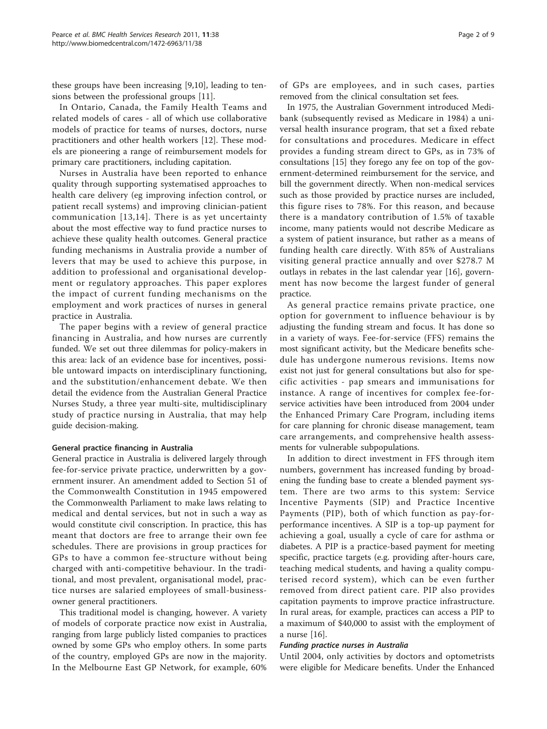these groups have been increasing [\[9,10](#page-7-0)], leading to tensions between the professional groups [\[11](#page-7-0)].

In Ontario, Canada, the Family Health Teams and related models of cares - all of which use collaborative models of practice for teams of nurses, doctors, nurse practitioners and other health workers [\[12](#page-7-0)]. These models are pioneering a range of reimbursement models for primary care practitioners, including capitation.

Nurses in Australia have been reported to enhance quality through supporting systematised approaches to health care delivery (eg improving infection control, or patient recall systems) and improving clinician-patient communication [[13,14](#page-7-0)]. There is as yet uncertainty about the most effective way to fund practice nurses to achieve these quality health outcomes. General practice funding mechanisms in Australia provide a number of levers that may be used to achieve this purpose, in addition to professional and organisational development or regulatory approaches. This paper explores the impact of current funding mechanisms on the employment and work practices of nurses in general practice in Australia.

The paper begins with a review of general practice financing in Australia, and how nurses are currently funded. We set out three dilemmas for policy-makers in this area: lack of an evidence base for incentives, possible untoward impacts on interdisciplinary functioning, and the substitution/enhancement debate. We then detail the evidence from the Australian General Practice Nurses Study, a three year multi-site, multidisciplinary study of practice nursing in Australia, that may help guide decision-making.

#### General practice financing in Australia

General practice in Australia is delivered largely through fee-for-service private practice, underwritten by a government insurer. An amendment added to Section 51 of the Commonwealth Constitution in 1945 empowered the Commonwealth Parliament to make laws relating to medical and dental services, but not in such a way as would constitute civil conscription. In practice, this has meant that doctors are free to arrange their own fee schedules. There are provisions in group practices for GPs to have a common fee-structure without being charged with anti-competitive behaviour. In the traditional, and most prevalent, organisational model, practice nurses are salaried employees of small-businessowner general practitioners.

This traditional model is changing, however. A variety of models of corporate practice now exist in Australia, ranging from large publicly listed companies to practices owned by some GPs who employ others. In some parts of the country, employed GPs are now in the majority. In the Melbourne East GP Network, for example, 60% of GPs are employees, and in such cases, parties removed from the clinical consultation set fees.

In 1975, the Australian Government introduced Medibank (subsequently revised as Medicare in 1984) a universal health insurance program, that set a fixed rebate for consultations and procedures. Medicare in effect provides a funding stream direct to GPs, as in 73% of consultations [\[15\]](#page-7-0) they forego any fee on top of the government-determined reimbursement for the service, and bill the government directly. When non-medical services such as those provided by practice nurses are included, this figure rises to 78%. For this reason, and because there is a mandatory contribution of 1.5% of taxable income, many patients would not describe Medicare as a system of patient insurance, but rather as a means of funding health care directly. With 85% of Australians visiting general practice annually and over \$278.7 M outlays in rebates in the last calendar year [\[16](#page-7-0)], government has now become the largest funder of general practice.

As general practice remains private practice, one option for government to influence behaviour is by adjusting the funding stream and focus. It has done so in a variety of ways. Fee-for-service (FFS) remains the most significant activity, but the Medicare benefits schedule has undergone numerous revisions. Items now exist not just for general consultations but also for specific activities - pap smears and immunisations for instance. A range of incentives for complex fee-forservice activities have been introduced from 2004 under the Enhanced Primary Care Program, including items for care planning for chronic disease management, team care arrangements, and comprehensive health assessments for vulnerable subpopulations.

In addition to direct investment in FFS through item numbers, government has increased funding by broadening the funding base to create a blended payment system. There are two arms to this system: Service Incentive Payments (SIP) and Practice Incentive Payments (PIP), both of which function as pay-forperformance incentives. A SIP is a top-up payment for achieving a goal, usually a cycle of care for asthma or diabetes. A PIP is a practice-based payment for meeting specific, practice targets (e.g. providing after-hours care, teaching medical students, and having a quality computerised record system), which can be even further removed from direct patient care. PIP also provides capitation payments to improve practice infrastructure. In rural areas, for example, practices can access a PIP to a maximum of \$40,000 to assist with the employment of a nurse [\[16\]](#page-7-0).

#### Funding practice nurses in Australia

Until 2004, only activities by doctors and optometrists were eligible for Medicare benefits. Under the Enhanced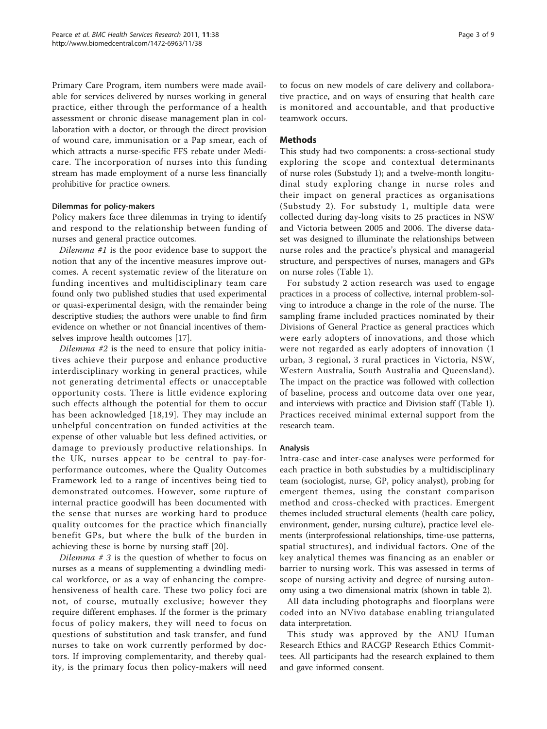Primary Care Program, item numbers were made available for services delivered by nurses working in general practice, either through the performance of a health assessment or chronic disease management plan in collaboration with a doctor, or through the direct provision of wound care, immunisation or a Pap smear, each of which attracts a nurse-specific FFS rebate under Medicare. The incorporation of nurses into this funding stream has made employment of a nurse less financially prohibitive for practice owners.

#### Dilemmas for policy-makers

Policy makers face three dilemmas in trying to identify and respond to the relationship between funding of nurses and general practice outcomes.

Dilemma #1 is the poor evidence base to support the notion that any of the incentive measures improve outcomes. A recent systematic review of the literature on funding incentives and multidisciplinary team care found only two published studies that used experimental or quasi-experimental design, with the remainder being descriptive studies; the authors were unable to find firm evidence on whether or not financial incentives of themselves improve health outcomes [[17\]](#page-7-0).

Dilemma  $#2$  is the need to ensure that policy initiatives achieve their purpose and enhance productive interdisciplinary working in general practices, while not generating detrimental effects or unacceptable opportunity costs. There is little evidence exploring such effects although the potential for them to occur has been acknowledged [[18](#page-7-0),[19](#page-7-0)]. They may include an unhelpful concentration on funded activities at the expense of other valuable but less defined activities, or damage to previously productive relationships. In the UK, nurses appear to be central to pay-forperformance outcomes, where the Quality Outcomes Framework led to a range of incentives being tied to demonstrated outcomes. However, some rupture of internal practice goodwill has been documented with the sense that nurses are working hard to produce quality outcomes for the practice which financially benefit GPs, but where the bulk of the burden in achieving these is borne by nursing staff [\[20](#page-7-0)].

Dilemma  $# 3$  is the question of whether to focus on nurses as a means of supplementing a dwindling medical workforce, or as a way of enhancing the comprehensiveness of health care. These two policy foci are not, of course, mutually exclusive; however they require different emphases. If the former is the primary focus of policy makers, they will need to focus on questions of substitution and task transfer, and fund nurses to take on work currently performed by doctors. If improving complementarity, and thereby quality, is the primary focus then policy-makers will need to focus on new models of care delivery and collaborative practice, and on ways of ensuring that health care is monitored and accountable, and that productive teamwork occurs.

#### **Methods**

This study had two components: a cross-sectional study exploring the scope and contextual determinants of nurse roles (Substudy 1); and a twelve-month longitudinal study exploring change in nurse roles and their impact on general practices as organisations (Substudy 2). For substudy 1, multiple data were collected during day-long visits to 25 practices in NSW and Victoria between 2005 and 2006. The diverse dataset was designed to illuminate the relationships between nurse roles and the practice's physical and managerial structure, and perspectives of nurses, managers and GPs on nurse roles (Table [1](#page-3-0)).

For substudy 2 action research was used to engage practices in a process of collective, internal problem-solving to introduce a change in the role of the nurse. The sampling frame included practices nominated by their Divisions of General Practice as general practices which were early adopters of innovations, and those which were not regarded as early adopters of innovation (1 urban, 3 regional, 3 rural practices in Victoria, NSW, Western Australia, South Australia and Queensland). The impact on the practice was followed with collection of baseline, process and outcome data over one year, and interviews with practice and Division staff (Table [1](#page-3-0)). Practices received minimal external support from the research team.

#### Analysis

Intra-case and inter-case analyses were performed for each practice in both substudies by a multidisciplinary team (sociologist, nurse, GP, policy analyst), probing for emergent themes, using the constant comparison method and cross-checked with practices. Emergent themes included structural elements (health care policy, environment, gender, nursing culture), practice level elements (interprofessional relationships, time-use patterns, spatial structures), and individual factors. One of the key analytical themes was financing as an enabler or barrier to nursing work. This was assessed in terms of scope of nursing activity and degree of nursing autonomy using a two dimensional matrix (shown in table [2](#page-3-0)).

All data including photographs and floorplans were coded into an NVivo database enabling triangulated data interpretation.

This study was approved by the ANU Human Research Ethics and RACGP Research Ethics Committees. All participants had the research explained to them and gave informed consent.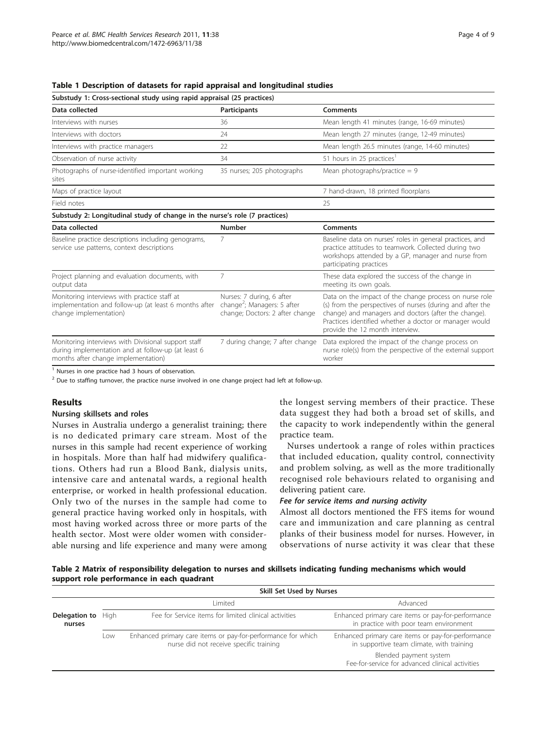<span id="page-3-0"></span>

|  |  |  |  | Table 1 Description of datasets for rapid appraisal and longitudinal studies |  |
|--|--|--|--|------------------------------------------------------------------------------|--|
|--|--|--|--|------------------------------------------------------------------------------|--|

| Substudy 1: Cross-sectional study using rapid appraisal (25 practices)                                                                           |                                                                                                         |                                                                                                                                                                                                                                                                          |  |  |  |
|--------------------------------------------------------------------------------------------------------------------------------------------------|---------------------------------------------------------------------------------------------------------|--------------------------------------------------------------------------------------------------------------------------------------------------------------------------------------------------------------------------------------------------------------------------|--|--|--|
| Data collected                                                                                                                                   | Participants                                                                                            | <b>Comments</b>                                                                                                                                                                                                                                                          |  |  |  |
| Interviews with nurses                                                                                                                           | 36                                                                                                      | Mean length 41 minutes (range, 16-69 minutes)                                                                                                                                                                                                                            |  |  |  |
| Interviews with doctors                                                                                                                          | 24                                                                                                      | Mean length 27 minutes (range, 12-49 minutes)                                                                                                                                                                                                                            |  |  |  |
| Interviews with practice managers                                                                                                                | 22                                                                                                      | Mean length 26.5 minutes (range, 14-60 minutes)                                                                                                                                                                                                                          |  |  |  |
| Observation of nurse activity                                                                                                                    | 34                                                                                                      | 51 hours in 25 practices <sup>1</sup>                                                                                                                                                                                                                                    |  |  |  |
| Photographs of nurse-identified important working<br>sites                                                                                       | 35 nurses; 205 photographs                                                                              | Mean photographs/practice $= 9$                                                                                                                                                                                                                                          |  |  |  |
| Maps of practice layout                                                                                                                          |                                                                                                         | 7 hand-drawn, 18 printed floorplans                                                                                                                                                                                                                                      |  |  |  |
| Field notes                                                                                                                                      |                                                                                                         | 25                                                                                                                                                                                                                                                                       |  |  |  |
| Substudy 2: Longitudinal study of change in the nurse's role (7 practices)                                                                       |                                                                                                         |                                                                                                                                                                                                                                                                          |  |  |  |
| Data collected                                                                                                                                   | <b>Number</b>                                                                                           | <b>Comments</b>                                                                                                                                                                                                                                                          |  |  |  |
| Baseline practice descriptions including genograms,<br>service use patterns, context descriptions                                                | 7                                                                                                       | Baseline data on nurses' roles in general practices, and<br>practice attitudes to teamwork. Collected during two<br>workshops attended by a GP, manager and nurse from<br>participating practices                                                                        |  |  |  |
| Project planning and evaluation documents, with<br>output data                                                                                   | 7                                                                                                       | These data explored the success of the change in<br>meeting its own goals.                                                                                                                                                                                               |  |  |  |
| Monitoring interviews with practice staff at<br>implementation and follow-up (at least 6 months after<br>change implementation)                  | Nurses: 7 during, 6 after<br>change <sup>2</sup> ; Managers: 5 after<br>change; Doctors: 2 after change | Data on the impact of the change process on nurse role<br>(s) from the perspectives of nurses (during and after the<br>change) and managers and doctors (after the change).<br>Practices identified whether a doctor or manager would<br>provide the 12 month interview. |  |  |  |
| Monitoring interviews with Divisional support staff<br>during implementation and at follow-up (at least 6<br>months after change implementation) | 7 during change; 7 after change                                                                         | Data explored the impact of the change process on<br>nurse role(s) from the perspective of the external support<br>worker                                                                                                                                                |  |  |  |

<sup>1</sup> Nurses in one practice had 3 hours of observation.

 $2$  Due to staffing turnover, the practice nurse involved in one change project had left at follow-up.

#### Results

## Nursing skillsets and roles

Nurses in Australia undergo a generalist training; there is no dedicated primary care stream. Most of the nurses in this sample had recent experience of working in hospitals. More than half had midwifery qualifications. Others had run a Blood Bank, dialysis units, intensive care and antenatal wards, a regional health enterprise, or worked in health professional education. Only two of the nurses in the sample had come to general practice having worked only in hospitals, with most having worked across three or more parts of the health sector. Most were older women with considerable nursing and life experience and many were among

the longest serving members of their practice. These data suggest they had both a broad set of skills, and the capacity to work independently within the general practice team.

Nurses undertook a range of roles within practices that included education, quality control, connectivity and problem solving, as well as the more traditionally recognised role behaviours related to organising and delivering patient care.

## Fee for service items and nursing activity

Almost all doctors mentioned the FFS items for wound care and immunization and care planning as central planks of their business model for nurses. However, in observations of nurse activity it was clear that these

Table 2 Matrix of responsibility delegation to nurses and skillsets indicating funding mechanisms which would support role performance in each quadrant

|                         | Skill Set Used by Nurses |                                                                                                         |                                                                                                                           |  |  |
|-------------------------|--------------------------|---------------------------------------------------------------------------------------------------------|---------------------------------------------------------------------------------------------------------------------------|--|--|
|                         |                          | I imited                                                                                                | Advanced                                                                                                                  |  |  |
| Delegation to<br>nurses | Hiah.                    | Fee for Service items for limited clinical activities                                                   | Enhanced primary care items or pay-for-performance<br>in practice with poor team environment                              |  |  |
|                         | Low                      | Enhanced primary care items or pay-for-performance for which<br>nurse did not receive specific training | Enhanced primary care items or pay-for-performance<br>in supportive team climate, with training<br>Blended payment system |  |  |
|                         |                          |                                                                                                         | Fee-for-service for advanced clinical activities                                                                          |  |  |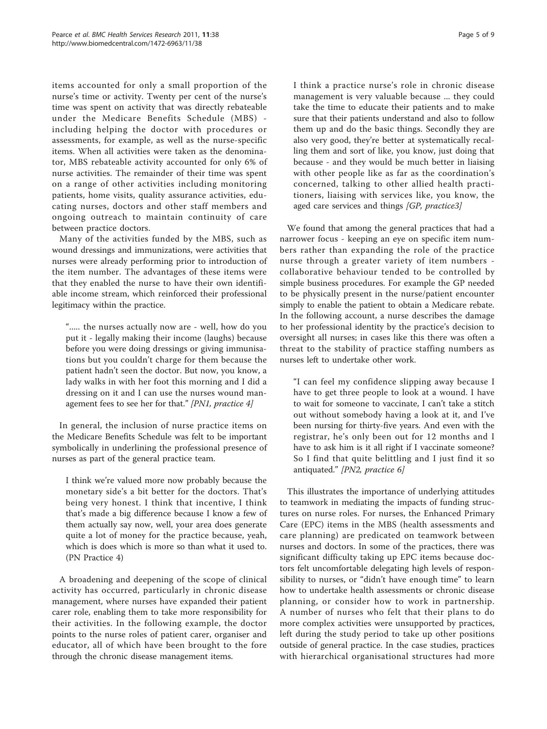items accounted for only a small proportion of the nurse's time or activity. Twenty per cent of the nurse's time was spent on activity that was directly rebateable under the Medicare Benefits Schedule (MBS) including helping the doctor with procedures or assessments, for example, as well as the nurse-specific items. When all activities were taken as the denominator, MBS rebateable activity accounted for only 6% of nurse activities. The remainder of their time was spent on a range of other activities including monitoring patients, home visits, quality assurance activities, educating nurses, doctors and other staff members and ongoing outreach to maintain continuity of care between practice doctors.

Many of the activities funded by the MBS, such as wound dressings and immunizations, were activities that nurses were already performing prior to introduction of the item number. The advantages of these items were that they enabled the nurse to have their own identifiable income stream, which reinforced their professional legitimacy within the practice.

"..... the nurses actually now are - well, how do you put it - legally making their income (laughs) because before you were doing dressings or giving immunisations but you couldn't charge for them because the patient hadn't seen the doctor. But now, you know, a lady walks in with her foot this morning and I did a dressing on it and I can use the nurses wound management fees to see her for that." [PN1, practice 4]

In general, the inclusion of nurse practice items on the Medicare Benefits Schedule was felt to be important symbolically in underlining the professional presence of nurses as part of the general practice team.

I think we're valued more now probably because the monetary side's a bit better for the doctors. That's being very honest. I think that incentive, I think that's made a big difference because I know a few of them actually say now, well, your area does generate quite a lot of money for the practice because, yeah, which is does which is more so than what it used to. (PN Practice 4)

A broadening and deepening of the scope of clinical activity has occurred, particularly in chronic disease management, where nurses have expanded their patient carer role, enabling them to take more responsibility for their activities. In the following example, the doctor points to the nurse roles of patient carer, organiser and educator, all of which have been brought to the fore through the chronic disease management items.

I think a practice nurse's role in chronic disease management is very valuable because ... they could take the time to educate their patients and to make sure that their patients understand and also to follow them up and do the basic things. Secondly they are also very good, they're better at systematically recalling them and sort of like, you know, just doing that because - and they would be much better in liaising with other people like as far as the coordination's concerned, talking to other allied health practitioners, liaising with services like, you know, the aged care services and things [GP, practice3]

We found that among the general practices that had a narrower focus - keeping an eye on specific item numbers rather than expanding the role of the practice nurse through a greater variety of item numbers collaborative behaviour tended to be controlled by simple business procedures. For example the GP needed to be physically present in the nurse/patient encounter simply to enable the patient to obtain a Medicare rebate. In the following account, a nurse describes the damage to her professional identity by the practice's decision to oversight all nurses; in cases like this there was often a threat to the stability of practice staffing numbers as nurses left to undertake other work.

"I can feel my confidence slipping away because I have to get three people to look at a wound. I have to wait for someone to vaccinate, I can't take a stitch out without somebody having a look at it, and I've been nursing for thirty-five years. And even with the registrar, he's only been out for 12 months and I have to ask him is it all right if I vaccinate someone? So I find that quite belittling and I just find it so antiquated." [PN2, practice 6]

This illustrates the importance of underlying attitudes to teamwork in mediating the impacts of funding structures on nurse roles. For nurses, the Enhanced Primary Care (EPC) items in the MBS (health assessments and care planning) are predicated on teamwork between nurses and doctors. In some of the practices, there was significant difficulty taking up EPC items because doctors felt uncomfortable delegating high levels of responsibility to nurses, or "didn't have enough time" to learn how to undertake health assessments or chronic disease planning, or consider how to work in partnership. A number of nurses who felt that their plans to do more complex activities were unsupported by practices, left during the study period to take up other positions outside of general practice. In the case studies, practices with hierarchical organisational structures had more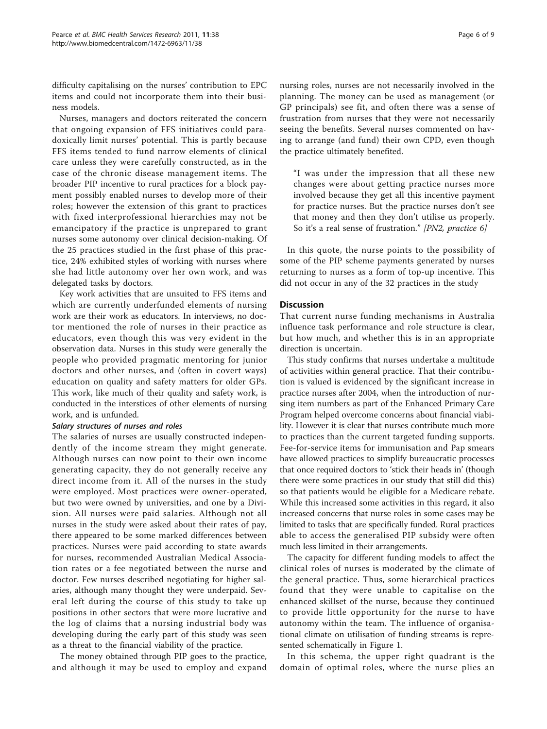difficulty capitalising on the nurses' contribution to EPC items and could not incorporate them into their business models.

Nurses, managers and doctors reiterated the concern that ongoing expansion of FFS initiatives could paradoxically limit nurses' potential. This is partly because FFS items tended to fund narrow elements of clinical care unless they were carefully constructed, as in the case of the chronic disease management items. The broader PIP incentive to rural practices for a block payment possibly enabled nurses to develop more of their roles; however the extension of this grant to practices with fixed interprofessional hierarchies may not be emancipatory if the practice is unprepared to grant nurses some autonomy over clinical decision-making. Of the 25 practices studied in the first phase of this practice, 24% exhibited styles of working with nurses where she had little autonomy over her own work, and was delegated tasks by doctors.

Key work activities that are unsuited to FFS items and which are currently underfunded elements of nursing work are their work as educators. In interviews, no doctor mentioned the role of nurses in their practice as educators, even though this was very evident in the observation data. Nurses in this study were generally the people who provided pragmatic mentoring for junior doctors and other nurses, and (often in covert ways) education on quality and safety matters for older GPs. This work, like much of their quality and safety work, is conducted in the interstices of other elements of nursing work, and is unfunded.

## Salary structures of nurses and roles

The salaries of nurses are usually constructed independently of the income stream they might generate. Although nurses can now point to their own income generating capacity, they do not generally receive any direct income from it. All of the nurses in the study were employed. Most practices were owner-operated, but two were owned by universities, and one by a Division. All nurses were paid salaries. Although not all nurses in the study were asked about their rates of pay, there appeared to be some marked differences between practices. Nurses were paid according to state awards for nurses, recommended Australian Medical Association rates or a fee negotiated between the nurse and doctor. Few nurses described negotiating for higher salaries, although many thought they were underpaid. Several left during the course of this study to take up positions in other sectors that were more lucrative and the log of claims that a nursing industrial body was developing during the early part of this study was seen as a threat to the financial viability of the practice.

The money obtained through PIP goes to the practice, and although it may be used to employ and expand nursing roles, nurses are not necessarily involved in the planning. The money can be used as management (or GP principals) see fit, and often there was a sense of frustration from nurses that they were not necessarily seeing the benefits. Several nurses commented on having to arrange (and fund) their own CPD, even though the practice ultimately benefited.

"I was under the impression that all these new changes were about getting practice nurses more involved because they get all this incentive payment for practice nurses. But the practice nurses don't see that money and then they don't utilise us properly. So it's a real sense of frustration." [PN2, practice 6]

In this quote, the nurse points to the possibility of some of the PIP scheme payments generated by nurses returning to nurses as a form of top-up incentive. This did not occur in any of the 32 practices in the study

## **Discussion**

That current nurse funding mechanisms in Australia influence task performance and role structure is clear, but how much, and whether this is in an appropriate direction is uncertain.

This study confirms that nurses undertake a multitude of activities within general practice. That their contribution is valued is evidenced by the significant increase in practice nurses after 2004, when the introduction of nursing item numbers as part of the Enhanced Primary Care Program helped overcome concerns about financial viability. However it is clear that nurses contribute much more to practices than the current targeted funding supports. Fee-for-service items for immunisation and Pap smears have allowed practices to simplify bureaucratic processes that once required doctors to 'stick their heads in' (though there were some practices in our study that still did this) so that patients would be eligible for a Medicare rebate. While this increased some activities in this regard, it also increased concerns that nurse roles in some cases may be limited to tasks that are specifically funded. Rural practices able to access the generalised PIP subsidy were often much less limited in their arrangements.

The capacity for different funding models to affect the clinical roles of nurses is moderated by the climate of the general practice. Thus, some hierarchical practices found that they were unable to capitalise on the enhanced skillset of the nurse, because they continued to provide little opportunity for the nurse to have autonomy within the team. The influence of organisational climate on utilisation of funding streams is represented schematically in Figure [1.](#page-6-0)

In this schema, the upper right quadrant is the domain of optimal roles, where the nurse plies an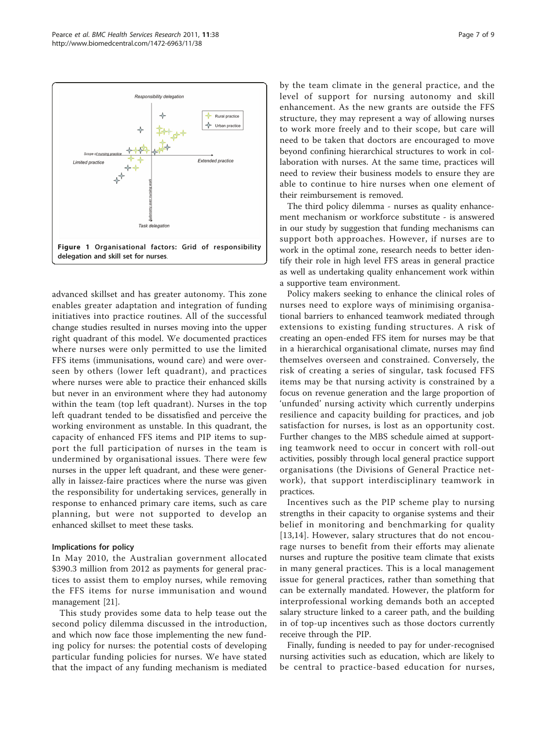<span id="page-6-0"></span>

advanced skillset and has greater autonomy. This zone enables greater adaptation and integration of funding initiatives into practice routines. All of the successful change studies resulted in nurses moving into the upper right quadrant of this model. We documented practices where nurses were only permitted to use the limited FFS items (immunisations, wound care) and were overseen by others (lower left quadrant), and practices where nurses were able to practice their enhanced skills but never in an environment where they had autonomy within the team (top left quadrant). Nurses in the top left quadrant tended to be dissatisfied and perceive the working environment as unstable. In this quadrant, the capacity of enhanced FFS items and PIP items to support the full participation of nurses in the team is undermined by organisational issues. There were few nurses in the upper left quadrant, and these were generally in laissez-faire practices where the nurse was given the responsibility for undertaking services, generally in response to enhanced primary care items, such as care planning, but were not supported to develop an enhanced skillset to meet these tasks.

#### Implications for policy

In May 2010, the Australian government allocated \$390.3 million from 2012 as payments for general practices to assist them to employ nurses, while removing the FFS items for nurse immunisation and wound management [\[21](#page-8-0)].

This study provides some data to help tease out the second policy dilemma discussed in the introduction, and which now face those implementing the new funding policy for nurses: the potential costs of developing particular funding policies for nurses. We have stated that the impact of any funding mechanism is mediated by the team climate in the general practice, and the level of support for nursing autonomy and skill enhancement. As the new grants are outside the FFS structure, they may represent a way of allowing nurses to work more freely and to their scope, but care will need to be taken that doctors are encouraged to move beyond confining hierarchical structures to work in collaboration with nurses. At the same time, practices will need to review their business models to ensure they are able to continue to hire nurses when one element of their reimbursement is removed.

The third policy dilemma - nurses as quality enhancement mechanism or workforce substitute - is answered in our study by suggestion that funding mechanisms can support both approaches. However, if nurses are to work in the optimal zone, research needs to better identify their role in high level FFS areas in general practice as well as undertaking quality enhancement work within a supportive team environment.

Policy makers seeking to enhance the clinical roles of nurses need to explore ways of minimising organisational barriers to enhanced teamwork mediated through extensions to existing funding structures. A risk of creating an open-ended FFS item for nurses may be that in a hierarchical organisational climate, nurses may find themselves overseen and constrained. Conversely, the risk of creating a series of singular, task focused FFS items may be that nursing activity is constrained by a focus on revenue generation and the large proportion of 'unfunded' nursing activity which currently underpins resilience and capacity building for practices, and job satisfaction for nurses, is lost as an opportunity cost. Further changes to the MBS schedule aimed at supporting teamwork need to occur in concert with roll-out activities, possibly through local general practice support organisations (the Divisions of General Practice network), that support interdisciplinary teamwork in practices.

Incentives such as the PIP scheme play to nursing strengths in their capacity to organise systems and their belief in monitoring and benchmarking for quality [[13](#page-7-0),[14\]](#page-7-0). However, salary structures that do not encourage nurses to benefit from their efforts may alienate nurses and rupture the positive team climate that exists in many general practices. This is a local management issue for general practices, rather than something that can be externally mandated. However, the platform for interprofessional working demands both an accepted salary structure linked to a career path, and the building in of top-up incentives such as those doctors currently receive through the PIP.

Finally, funding is needed to pay for under-recognised nursing activities such as education, which are likely to be central to practice-based education for nurses,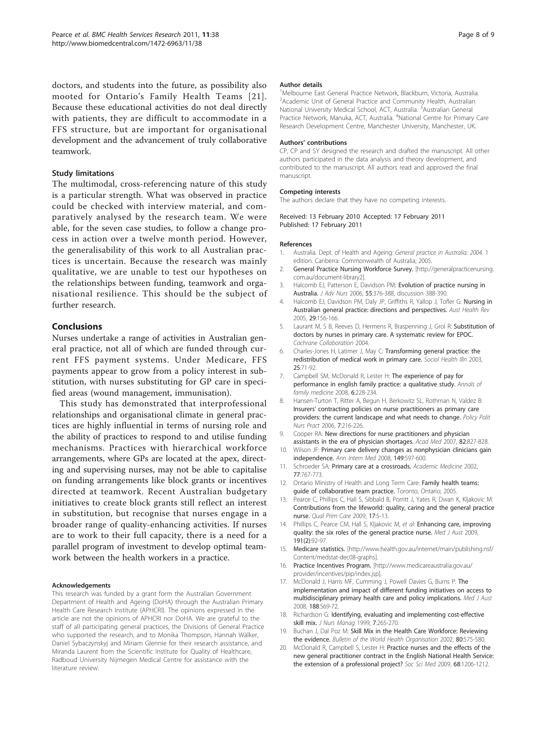<span id="page-7-0"></span>doctors, and students into the future, as possibility also mooted for Ontario's Family Health Teams [[21\]](#page-8-0). Because these educational activities do not deal directly with patients, they are difficult to accommodate in a FFS structure, but are important for organisational development and the advancement of truly collaborative teamwork.

#### Study limitations

The multimodal, cross-referencing nature of this study is a particular strength. What was observed in practice could be checked with interview material, and comparatively analysed by the research team. We were able, for the seven case studies, to follow a change process in action over a twelve month period. However, the generalisability of this work to all Australian practices is uncertain. Because the research was mainly qualitative, we are unable to test our hypotheses on the relationships between funding, teamwork and organisational resilience. This should be the subject of further research.

## Conclusions

Nurses undertake a range of activities in Australian general practice, not all of which are funded through current FFS payment systems. Under Medicare, FFS payments appear to grow from a policy interest in substitution, with nurses substituting for GP care in specified areas (wound management, immunisation).

This study has demonstrated that interprofessional relationships and organisational climate in general practices are highly influential in terms of nursing role and the ability of practices to respond to and utilise funding mechanisms. Practices with hierarchical workforce arrangements, where GPs are located at the apex, directing and supervising nurses, may not be able to capitalise on funding arrangements like block grants or incentives directed at teamwork. Recent Australian budgetary initiatives to create block grants still reflect an interest in substitution, but recognise that nurses engage in a broader range of quality-enhancing activities. If nurses are to work to their full capacity, there is a need for a parallel program of investment to develop optimal teamwork between the health workers in a practice.

#### Acknowledgements

This research was funded by a grant form the Australian Government Department of Health and Ageing (DoHA) through the Australian Primary Health Care Research Institute (APHCRI). The opinions expressed in the article are not the opinions of APHCRI nor DoHA. We are grateful to the staff of all participating general practices, the Divisions of General Practice who supported the research, and to Monika Thompson, Hannah Walker, Daniel Sybaczynskyj and Miriam Glennie for their research assistance, and Miranda Laurent from the Scientific Institute for Quality of Healthcare, Radboud University Nijmegen Medical Centre for assistance with the literature review.

#### Author details

<sup>1</sup>Melbourne East General Practice Network, Blackburn, Victoria, Australia <sup>2</sup> Academic Unit of General Practice and Community Health, Australian National University Medical School, ACT, Australia. <sup>3</sup>Australian General Practice Network, Manuka, ACT, Australia. <sup>4</sup>National Centre for Primary Care Research Development Centre, Manchester University, Manchester, UK.

#### Authors' contributions

CP, CP and SY designed the research and drafted the manuscript. All other authors participated in the data analysis and theory development, and contributed to the manuscript. All authors read and approved the final manuscript.

#### Competing interests

The authors declare that they have no competing interests.

Received: 13 February 2010 Accepted: 17 February 2011 Published: 17 February 2011

#### References

- 1. Australia. Dept. of Health and Ageing: General practice in Australia: 2004. 1 edition. Canberra: Commonwealth of Australia; 2005.
- 2. General Practice Nursing Workforce Survey. [\[http://generalpracticenursing.](http://generalpracticenursing.com.au/document-library2) [com.au/document-library2\]](http://generalpracticenursing.com.au/document-library2).
- 3. Halcomb EJ, Patterson E, Davidson PM: [Evolution of practice nursing in](http://www.ncbi.nlm.nih.gov/pubmed/16866832?dopt=Abstract) [Australia.](http://www.ncbi.nlm.nih.gov/pubmed/16866832?dopt=Abstract) J Adv Nurs 2006, 55:376-388, discussion 388-390.
- 4. Halcomb EJ, Davidson PM, Daly JP, Griffiths R, Yallop J, Tofler G: [Nursing in](http://www.ncbi.nlm.nih.gov/pubmed/15865566?dopt=Abstract) [Australian general practice: directions and perspectives.](http://www.ncbi.nlm.nih.gov/pubmed/15865566?dopt=Abstract) Aust Health Rev 2005, 29:156-166.
- 5. Laurant M, S B, Reeves D, Hermens R, Braspenning J, Grol R: Substitution of doctors by nurses in primary care. A systematic review for EPOC. Cochrane Collaboration 2004.
- 6. Charles-Jones H, Latimer J, May C: [Transforming general practice: the](http://www.ncbi.nlm.nih.gov/pubmed/14498945?dopt=Abstract) [redistribution of medical work in primary care.](http://www.ncbi.nlm.nih.gov/pubmed/14498945?dopt=Abstract) Sociol Health Illn 2003, 25:71-92.
- 7. Campbell SM, McDonald R, Lester H: [The experience of pay for](http://www.ncbi.nlm.nih.gov/pubmed/18474885?dopt=Abstract) [performance in english family practice: a qualitative study.](http://www.ncbi.nlm.nih.gov/pubmed/18474885?dopt=Abstract) Annals of family medicine 2008, 6:228-234.
- 8. Hansen-Turton T, Ritter A, Begun H, Berkowitz SL, Rothman N, Valdez B: Insurers' [contracting policies on nurse practitioners as primary care](http://www.ncbi.nlm.nih.gov/pubmed/17071708?dopt=Abstract) [providers: the current landscape and what needs to change.](http://www.ncbi.nlm.nih.gov/pubmed/17071708?dopt=Abstract) Policy Polit Nurs Pract 2006, 7:216-226.
- 9. Cooper RA: [New directions for nurse practitioners and physician](http://www.ncbi.nlm.nih.gov/pubmed/17726384?dopt=Abstract) [assistants in the era of physician shortages.](http://www.ncbi.nlm.nih.gov/pubmed/17726384?dopt=Abstract) Acad Med 2007, 82:827-828.
- 10. Wilson JF: [Primary care delivery changes as nonphysician clinicians gain](http://www.ncbi.nlm.nih.gov/pubmed/18936515?dopt=Abstract) [independence.](http://www.ncbi.nlm.nih.gov/pubmed/18936515?dopt=Abstract) Ann Intern Med 2008, 149:597-600.
- 11. Schroeder SA: [Primary care at a crossroads.](http://www.ncbi.nlm.nih.gov/pubmed/12176687?dopt=Abstract) Academic Medicine 2002, 77:767-773.
- 12. Ontario Ministry of Health and Long Term Care: Family health teams: guide of collaborative team practice. Toronto, Ontario; 2005.
- 13. Pearce C, Phillips C, Hall S, Sibbald B, Porritt J, Yates R, Dwan K, Kljakovic M: [Contributions from the lifeworld: quality, caring and the general practice](http://www.ncbi.nlm.nih.gov/pubmed/19281669?dopt=Abstract) [nurse.](http://www.ncbi.nlm.nih.gov/pubmed/19281669?dopt=Abstract) Qual Prim Care 2009, 17:5-13.
- 14. Phillips C, Pearce CM, Hall S, Kljakovic M, et al: [Enhancing care, improving](http://www.ncbi.nlm.nih.gov/pubmed/19619094?dopt=Abstract) [quality: the six roles of the general practice nurse.](http://www.ncbi.nlm.nih.gov/pubmed/19619094?dopt=Abstract) Med J Aust 2009, 191(2):92-97.
- 15. Medicare statistics. [[http://www.health.gov.au/internet/main/publishing.nsf/](http://www.health.gov.au/internet/main/publishing.nsf/Content/medstat-dec08-graphs) [Content/medstat-dec08-graphs\]](http://www.health.gov.au/internet/main/publishing.nsf/Content/medstat-dec08-graphs).
- 16. Practice Incentives Program. [[http://www.medicareaustralia.gov.au/](http://www.medicareaustralia.gov.au/provider/incentives/pip/index.jsp) [provider/incentives/pip/index.jsp\]](http://www.medicareaustralia.gov.au/provider/incentives/pip/index.jsp).
- 17. McDonald J, Harris MF, Cumming J, Powell Davies G, Burns P: [The](http://www.ncbi.nlm.nih.gov/pubmed/18429741?dopt=Abstract) [implementation and impact of different funding initiatives on access to](http://www.ncbi.nlm.nih.gov/pubmed/18429741?dopt=Abstract) [multidisciplinary primary health care and policy implications.](http://www.ncbi.nlm.nih.gov/pubmed/18429741?dopt=Abstract) Med J Aust 2008, 188:S69-72.
- 18. Richardson G: [Identifying, evaluating and implementing cost-effective](http://www.ncbi.nlm.nih.gov/pubmed/10786545?dopt=Abstract) [skill mix.](http://www.ncbi.nlm.nih.gov/pubmed/10786545?dopt=Abstract) J Nurs Manag 1999, 7:265-270.
- 19. Buchan J, Dal Poz M: Skill Mix in the Health Care Workforce: Reviewing the evidence. Bulletin of the World Health Organisation 2002, 80:575-580.
- 20. McDonald R, Campbell S, Lester H: [Practice nurses and the effects of the](http://www.ncbi.nlm.nih.gov/pubmed/19254819?dopt=Abstract) [new general practitioner contract in the English National Health Service:](http://www.ncbi.nlm.nih.gov/pubmed/19254819?dopt=Abstract) [the extension of a professional project?](http://www.ncbi.nlm.nih.gov/pubmed/19254819?dopt=Abstract) Soc Sci Med 2009, 68:1206-1212.